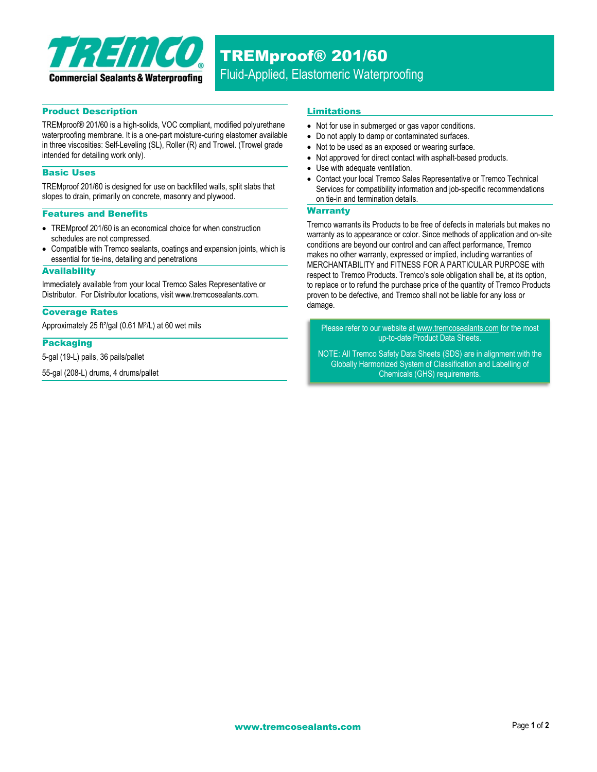

# TREMproof® 201/60

Fluid-Applied, Elastomeric Waterproofing

## Product Description

TREMproof® 201/60 is a high-solids, VOC compliant, modified polyurethane waterproofing membrane. It is a one-part moisture-curing elastomer available in three viscosities: Self-Leveling (SL), Roller (R) and Trowel. (Trowel grade intended for detailing work only).

## Basic Uses

TREMproof 201/60 is designed for use on backfilled walls, split slabs that slopes to drain, primarily on concrete, masonry and plywood.

## Features and Benefits

- TREMproof 201/60 is an economical choice for when construction schedules are not compressed.
- Compatible with Tremco sealants, coatings and expansion joints, which is essential for tie-ins, detailing and penetrations

#### **Availability**

Immediately available from your local Tremco Sales Representative or Distributor. For Distributor locations, visit www.tremcosealants.com.

#### Coverage Rates

Approximately 25 ft²/gal (0.61 M2/L) at 60 wet mils

## Packaging

5-gal (19-L) pails, 36 pails/pallet

55-gal (208-L) drums, 4 drums/pallet

## Limitations

- Not for use in submerged or gas vapor conditions.
- Do not apply to damp or contaminated surfaces.
- Not to be used as an exposed or wearing surface.
- Not approved for direct contact with asphalt-based products.
- Use with adequate ventilation.
- Contact your local Tremco Sales Representative or Tremco Technical Services for compatibility information and job-specific recommendations on tie-in and termination details.

#### **Warranty**

Tremco warrants its Products to be free of defects in materials but makes no warranty as to appearance or color. Since methods of application and on-site conditions are beyond our control and can affect performance, Tremco makes no other warranty, expressed or implied, including warranties of MERCHANTABILITY and FITNESS FOR A PARTICULAR PURPOSE with respect to Tremco Products. Tremco's sole obligation shall be, at its option, to replace or to refund the purchase price of the quantity of Tremco Products proven to be defective, and Tremco shall not be liable for any loss or damage.

Please refer to our website a[t www.tremcosealants.com](http://www.tremcosealants.com/) for the most up-to-date Product Data Sheets.

NOTE: All Tremco Safety Data Sheets (SDS) are in alignment with the Globally Harmonized System of Classification and Labelling of Chemicals (GHS) requirements.